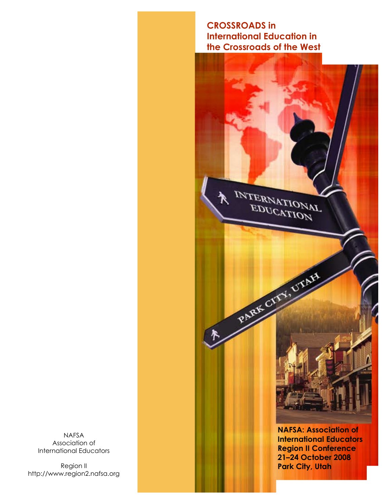### **CROSSROADS in International Education in the Crossroads of the West**

INTERNATIONAL

PARK CITY, UTAF

**NAFSA: Association of International Educators Region II Conference 21–24 October 2008 Park City, Utah**

NAFSA Association of International Educators

Region II http://www.region2.nafsa.org